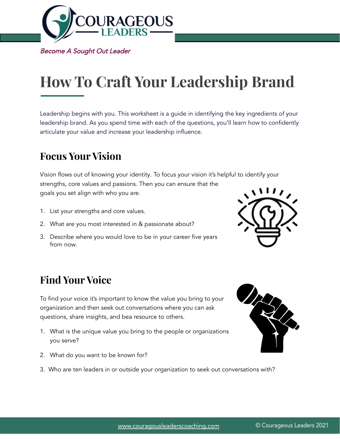

Become A Sought Out Leader

# **How To Craft Your Leadership Brand**

Leadership begins with you. This worksheet is a guide in identifying the key ingredients of your leadership brand. As you spend time with each of the questions, you'll learn how to confidently articulate your value and increase your leadership influence.

## **Focus Your Vision**

Vision flows out of knowing your identity. To focus your vision it's helpful to identify your strengths, core values and passions. Then you can ensure that the goals you set align with who you are.

- 1. List your strengths and core values.
- 2. What are you most interested in & passionate about?
- 3. Describe where you would love to be in your career five years from now.



# **Find Your Voice**

To find your voice it's important to know the value you bring to your organization and then seek out conversations where you can ask questions, share insights, and bea resource to others.

- 1. What is the unique value you bring to the people or organizations you serve?
- 2. What do you want to be known for?
- 3. Who are ten leaders in or outside your organization to seek out conversations with?